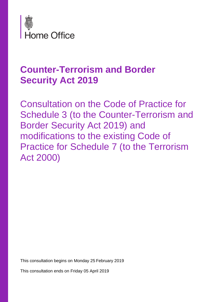

## **Counter-Terrorism and Border Security Act 2019**

Consultation on the Code of Practice for Schedule 3 (to the Counter-Terrorism and Border Security Act 2019) and modifications to the existing Code of Practice for Schedule 7 (to the Terrorism Act 2000)

This consultation begins on Monday 25 February 2019

This consultation ends on Friday 05 April 2019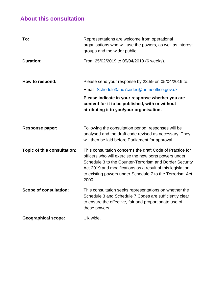### **About this consultation**

| To:                           | Representations are welcome from operational<br>organisations who will use the powers, as well as interest<br>groups and the wider public.                                                                                                                                                                       |
|-------------------------------|------------------------------------------------------------------------------------------------------------------------------------------------------------------------------------------------------------------------------------------------------------------------------------------------------------------|
| <b>Duration:</b>              | From 25/02/2019 to 05/04/2019 (6 weeks).                                                                                                                                                                                                                                                                         |
| How to respond:               | Please send your response by 23.59 on 05/04/2019 to:<br>Email: Schedule3and7codes@homeoffice.gov.uk<br>Please indicate in your response whether you are<br>content for it to be published, with or without<br>attributing it to you/your organisation.                                                           |
| <b>Response paper:</b>        | Following the consultation period, responses will be<br>analysed and the draft code revised as necessary. They<br>will then be laid before Parliament for approval.                                                                                                                                              |
| Topic of this consultation:   | This consultation concerns the draft Code of Practice for<br>officers who will exercise the new ports powers under<br>Schedule 3 to the Counter-Terrorism and Border Security<br>Act 2019 and modifications as a result of this legislation<br>to existing powers under Schedule 7 to the Terrorism Act<br>2000. |
| <b>Scope of consultation:</b> | This consultation seeks representations on whether the<br>Schedule 3 and Schedule 7 Codes are sufficiently clear<br>to ensure the effective, fair and proportionate use of<br>these powers.                                                                                                                      |
| <b>Geographical scope:</b>    | UK wide.                                                                                                                                                                                                                                                                                                         |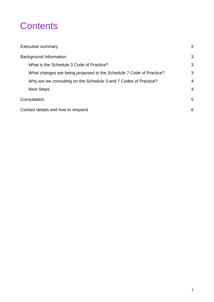# **Contents**

| <b>Executive summary</b>                                            | $\overline{2}$ |
|---------------------------------------------------------------------|----------------|
| <b>Background Information</b>                                       |                |
| What is the Schedule 3 Code of Practice?                            | 3              |
| What changes are being proposed to the Schedule 7 Code of Practice? | 3              |
| Why are we consulting on the Schedule 3 and 7 Codes of Practice?    |                |
| <b>Next Steps</b>                                                   | $\overline{4}$ |
| Consultation                                                        |                |
| Contact details and how to respond                                  |                |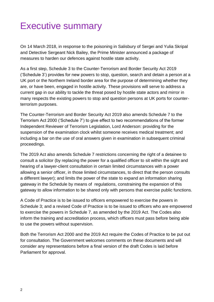## <span id="page-3-0"></span>Executive summary

On 14 March 2018, in response to the poisoning in Salisbury of Sergei and Yulia Skripal and Detective Sergeant Nick Bailey, the Prime Minister announced a package of measures to harden our defences against hostile state activity.

As a first step, Schedule 3 to the Counter-Terrorism and Border Security Act 2019 ('Schedule 3') provides for new powers to stop, question, search and detain a person at a UK port or the Northern Ireland border area for the purpose of determining whether they are, or have been, engaged in hostile activity. These provisions will serve to address a current gap in our ability to tackle the threat posed by hostile state actors and mirror in many respects the existing powers to stop and question persons at UK ports for counterterrorism purposes.

The Counter-Terrorism and Border Security Act 2019 also amends Schedule 7 to the Terrorism Act 2000 ('Schedule 7') to give effect to two recommendations of the former Independent Reviewer of Terrorism Legislation, Lord Anderson: providing for the suspension of the examination clock whilst someone receives medical treatment; and including a bar on the use of oral answers given in examination in subsequent criminal proceedings.

The 2019 Act also amends Schedule 7 restrictions concerning the right of a detainee to consult a solicitor (by replacing the power for a qualified officer to sit within the sight and hearing of a lawyer-client consultation in certain limited circumstances with a power allowing a senior officer, in those limited circumstances, to direct that the person consults a different lawyer); and limits the power of the state to expand an information sharing gateway in the Schedule by means of regulations, constraining the expansion of this gateway to allow information to be shared only with persons that exercise public functions.

A Code of Practice is to be issued to officers empowered to exercise the powers in Schedule 3; and a revised Code of Practice is to be issued to officers who are empowered to exercise the powers in Schedule 7, as amended by the 2019 Act. The Codes also inform the training and accreditation process, which officers must pass before being able to use the powers without supervision.

Both the Terrorism Act 2000 and the 2019 Act require the Codes of Practice to be put out for consultation. The Government welcomes comments on these documents and will consider any representations before a final version of the draft Codes is laid before Parliament for approval.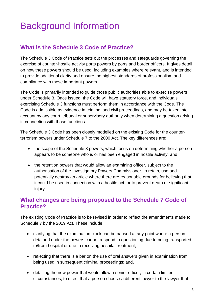# <span id="page-4-0"></span>Background Information

### <span id="page-4-1"></span>**What is the Schedule 3 Code of Practice?**

The Schedule 3 Code of Practice sets out the processes and safeguards governing the exercise of counter-hostile activity ports powers by ports and border officers. It gives detail on how these powers should be used, including examples where relevant, and is intended to provide additional clarity and ensure the highest standards of professionalism and compliance with these important powers.

The Code is primarily intended to guide those public authorities able to exercise powers under Schedule 3. Once issued, the Code will have statutory force, and individuals exercising Schedule 3 functions must perform them in accordance with the Code. The Code is admissible as evidence in criminal and civil proceedings, and may be taken into account by any court, tribunal or supervisory authority when determining a question arising in connection with those functions.

The Schedule 3 Code has been closely modelled on the existing Code for the counterterrorism powers under Schedule 7 to the 2000 Act. The key differences are:

- the scope of the Schedule 3 powers, which focus on determining whether a person appears to be someone who is or has been engaged in hostile activity; and,
- the retention powers that would allow an examining officer, subject to the authorisation of the Investigatory Powers Commissioner, to retain, use and potentially destroy an article where there are reasonable grounds for believing that it could be used in connection with a hostile act, or to prevent death or significant injury.

#### <span id="page-4-2"></span>**What changes are being proposed to the Schedule 7 Code of Practice?**

The existing Code of Practice is to be revised in order to reflect the amendments made to Schedule 7 by the 2019 Act. These include:

- clarifying that the examination clock can be paused at any point where a person detained under the powers cannot respond to questioning due to being transported to/from hospital or due to receiving hospital treatment;
- reflecting that there is a bar on the use of oral answers given in examination from being used in subsequent criminal proceedings; and,
- detailing the new power that would allow a senior officer, in certain limited circumstances, to direct that a person choose a different lawyer to the lawyer that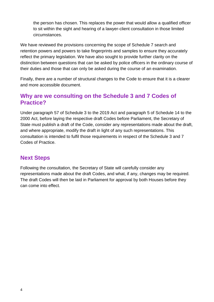the person has chosen. This replaces the power that would allow a qualified officer to sit within the sight and hearing of a lawyer-client consultation in those limited circumstances.

We have reviewed the provisions concerning the scope of Schedule 7 search and retention powers and powers to take fingerprints and samples to ensure they accurately reflect the primary legislation. We have also sought to provide further clarity on the distinction between questions that can be asked by police officers in the ordinary course of their duties and those that can only be asked during the course of an examination.

Finally, there are a number of structural changes to the Code to ensure that it is a clearer and more accessible document.

#### <span id="page-5-0"></span>**Why are we consulting on the Schedule 3 and 7 Codes of Practice?**

Under paragraph 57 of Schedule 3 to the 2019 Act and paragraph 5 of Schedule 14 to the 2000 Act, before laying the respective draft Codes before Parliament, the Secretary of State must publish a draft of the Code, consider any representations made about the draft, and where appropriate, modify the draft in light of any such representations. This consultation is intended to fulfil those requirements in respect of the Schedule 3 and 7 Codes of Practice.

#### <span id="page-5-1"></span>**Next Steps**

Following the consultation, the Secretary of State will carefully consider any representations made about the draft Codes, and what, if any, changes may be required. The draft Codes will then be laid in Parliament for approval by both Houses before they can come into effect.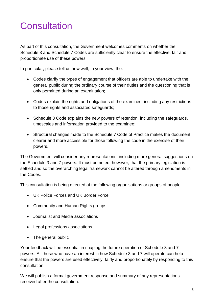# <span id="page-6-0"></span>**Consultation**

As part of this consultation, the Government welcomes comments on whether the Schedule 3 and Schedule 7 Codes are sufficiently clear to ensure the effective, fair and proportionate use of these powers.

In particular, please tell us how well, in your view, the:

- Codes clarify the types of engagement that officers are able to undertake with the general public during the ordinary course of their duties and the questioning that is only permitted during an examination;
- Codes explain the rights and obligations of the examinee, including any restrictions to those rights and associated safeguards;
- Schedule 3 Code explains the new powers of retention, including the safeguards, timescales and information provided to the examinee;
- Structural changes made to the Schedule 7 Code of Practice makes the document clearer and more accessible for those following the code in the exercise of their powers.

The Government will consider any representations, including more general suggestions on the Schedule 3 and 7 powers. It must be noted, however, that the primary legislation is settled and so the overarching legal framework cannot be altered through amendments in the Codes.

This consultation is being directed at the following organisations or groups of people:

- UK Police Forces and UK Border Force
- Community and Human Rights groups
- Journalist and Media associations
- Legal professions associations
- The general public

Your feedback will be essential in shaping the future operation of Schedule 3 and 7 powers. All those who have an interest in how Schedule 3 and 7 will operate can help ensure that the powers are used effectively, fairly and proportionately by responding to this consultation.

We will publish a formal government response and summary of any representations received after the consultation.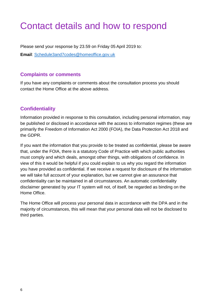# <span id="page-7-0"></span>Contact details and how to respond

Please send your response by 23.59 on Friday 05 April 2019 to: **Email**: [Schedule3and7codes@homeoffice.gov.uk](mailto:Schedule3and7codes@homeoffice.gov.uk)

#### **Complaints or comments**

If you have any complaints or comments about the consultation process you should contact the Home Office at the above address.

#### **Confidentiality**

Information provided in response to this consultation, including personal information, may be published or disclosed in accordance with the access to information regimes (these are primarily the Freedom of Information Act 2000 (FOIA), the Data Protection Act 2018 and the GDPR.

If you want the information that you provide to be treated as confidential, please be aware that, under the FOIA, there is a statutory Code of Practice with which public authorities must comply and which deals, amongst other things, with obligations of confidence. In view of this it would be helpful if you could explain to us why you regard the information you have provided as confidential. If we receive a request for disclosure of the information we will take full account of your explanation, but we cannot give an assurance that confidentiality can be maintained in all circumstances. An automatic confidentiality disclaimer generated by your IT system will not, of itself, be regarded as binding on the Home Office.

The Home Office will process your personal data in accordance with the DPA and in the majority of circumstances, this will mean that your personal data will not be disclosed to third parties.